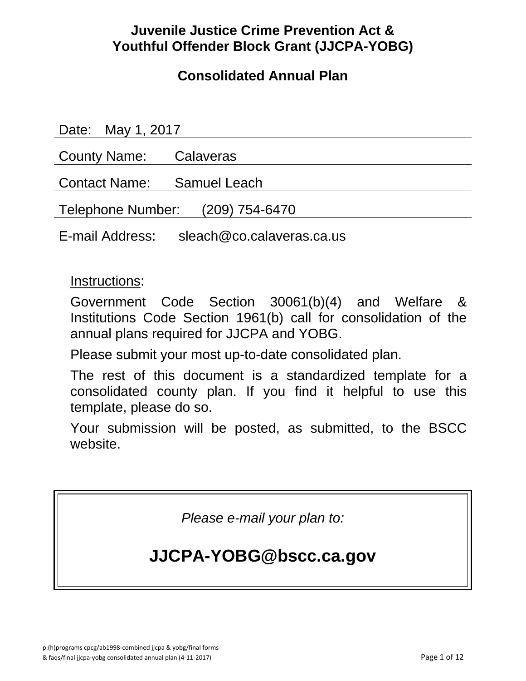# **Juvenile Justice Crime Prevention Act & Youthful Offender Block Grant (JJCPA-YOBG)**

# **Consolidated Annual Plan**

| Date: May 1, 2017                            |  |
|----------------------------------------------|--|
| <b>County Name:</b> Calaveras                |  |
| Contact Name: Samuel Leach                   |  |
| Telephone Number: (209) 754-6470             |  |
| sleach@co.calaveras.ca.us<br>E-mail Address: |  |

### Instructions:

Government Code Section 30061(b)(4) and Welfare & Institutions Code Section 1961(b) call for consolidation of the annual plans required for JJCPA and YOBG.

Please submit your most up-to-date consolidated plan.

The rest of this document is a standardized template for a consolidated county plan. If you find it helpful to use this template, please do so.

Your submission will be posted, as submitted, to the BSCC website.

*Please e-mail your plan to:* 

# **JJCPA-YOBG@bscc.ca.gov**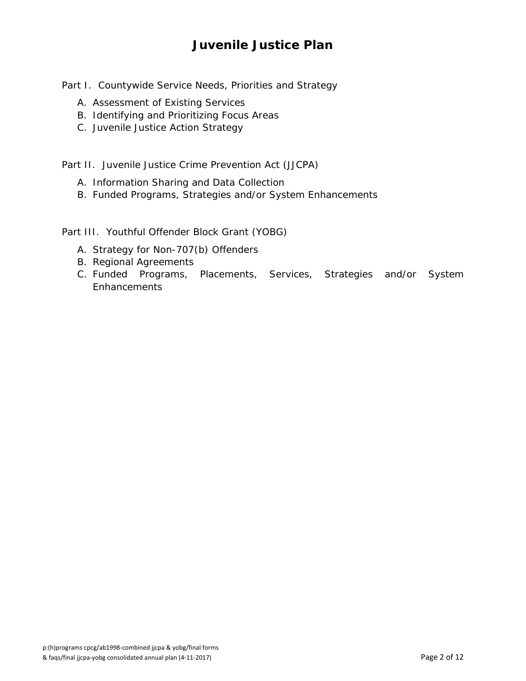## **Juvenile Justice Plan**

Part I. Countywide Service Needs, Priorities and Strategy

- A. Assessment of Existing Services
- B. Identifying and Prioritizing Focus Areas
- C. Juvenile Justice Action Strategy

Part II. Juvenile Justice Crime Prevention Act (JJCPA)

- A. Information Sharing and Data Collection
- B. Funded Programs, Strategies and/or System Enhancements

Part III. Youthful Offender Block Grant (YOBG)

- A. Strategy for Non-707(b) Offenders
- B. Regional Agreements
- C. Funded Programs, Placements, Services, Strategies and/or System Enhancements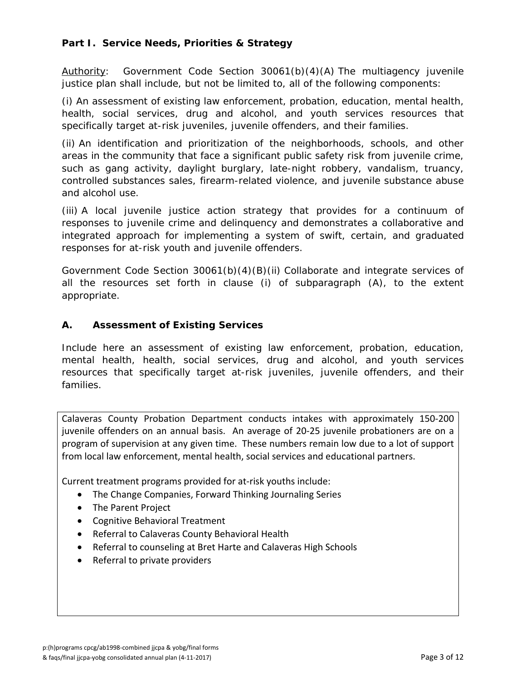#### **Part I. Service Needs, Priorities & Strategy**

*Authority: Government Code Section 30061(b)(4)(A) The multiagency juvenile justice plan shall include, but not be limited to, all of the following components:* 

*(i) An assessment of existing law enforcement, probation, education, mental health, health, social services, drug and alcohol, and youth services resources that specifically target at-risk juveniles, juvenile offenders, and their families.* 

*(ii) An identification and prioritization of the neighborhoods, schools, and other areas in the community that face a significant public safety risk from juvenile crime, such as gang activity, daylight burglary, late-night robbery, vandalism, truancy, controlled substances sales, firearm-related violence, and juvenile substance abuse and alcohol use.* 

*(iii) A local juvenile justice action strategy that provides for a continuum of responses to juvenile crime and delinquency and demonstrates a collaborative and integrated approach for implementing a system of swift, certain, and graduated responses for at-risk youth and juvenile offenders.* 

*Government Code Section 30061(b)(4)(B)(ii) Collaborate and integrate services of*  all the resources set forth in clause (i) of subparagraph (A), to the extent *appropriate.* 

#### **A. Assessment of Existing Services**

Include here an assessment of existing law enforcement, probation, education, mental health, health, social services, drug and alcohol, and youth services resources that specifically target at-risk juveniles, juvenile offenders, and their families.

Calaveras County Probation Department conducts intakes with approximately 150‐200 juvenile offenders on an annual basis. An average of 20‐25 juvenile probationers are on a program of supervision at any given time. These numbers remain low due to a lot of support from local law enforcement, mental health, social services and educational partners.

Current treatment programs provided for at‐risk youths include:

- The Change Companies, Forward Thinking Journaling Series
- The Parent Project
- Cognitive Behavioral Treatment
- Referral to Calaveras County Behavioral Health
- Referral to counseling at Bret Harte and Calaveras High Schools
- Referral to private providers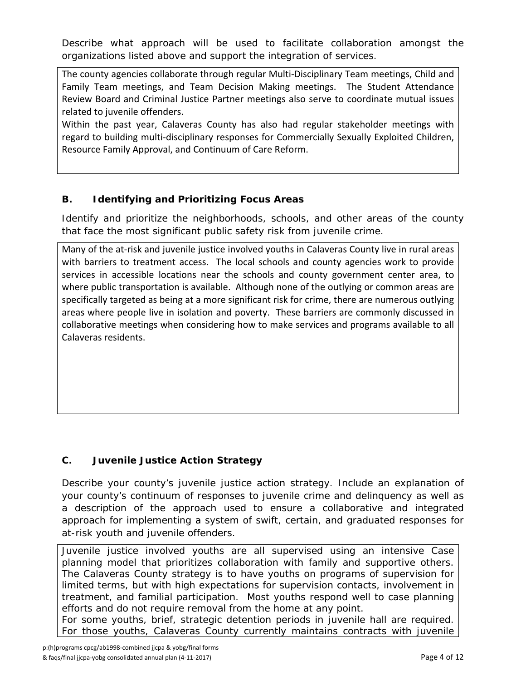Describe what approach will be used to facilitate collaboration amongst the organizations listed above and support the integration of services.

The county agencies collaborate through regular Multi‐Disciplinary Team meetings, Child and Family Team meetings, and Team Decision Making meetings. The Student Attendance Review Board and Criminal Justice Partner meetings also serve to coordinate mutual issues related to juvenile offenders.

Within the past year, Calaveras County has also had regular stakeholder meetings with regard to building multi‐disciplinary responses for Commercially Sexually Exploited Children, Resource Family Approval, and Continuum of Care Reform.

### **B. Identifying and Prioritizing Focus Areas**

Identify and prioritize the neighborhoods, schools, and other areas of the county that face the most significant public safety risk from juvenile crime.

Many of the at-risk and juvenile justice involved youths in Calaveras County live in rural areas with barriers to treatment access. The local schools and county agencies work to provide services in accessible locations near the schools and county government center area, to where public transportation is available. Although none of the outlying or common areas are specifically targeted as being at a more significant risk for crime, there are numerous outlying areas where people live in isolation and poverty. These barriers are commonly discussed in collaborative meetings when considering how to make services and programs available to all Calaveras residents.

### **C. Juvenile Justice Action Strategy**

Describe your county's juvenile justice action strategy. Include an explanation of your county's continuum of responses to juvenile crime and delinquency as well as a description of the approach used to ensure a collaborative and integrated approach for implementing a system of swift, certain, and graduated responses for at-risk youth and juvenile offenders.

Juvenile justice involved youths are all supervised using an intensive Case planning model that prioritizes collaboration with family and supportive others. The Calaveras County strategy is to have youths on programs of supervision for limited terms, but with high expectations for supervision contacts, involvement in treatment, and familial participation. Most youths respond well to case planning efforts and do not require removal from the home at any point.

For some youths, brief, strategic detention periods in juvenile hall are required. For those youths, Calaveras County currently maintains contracts with juvenile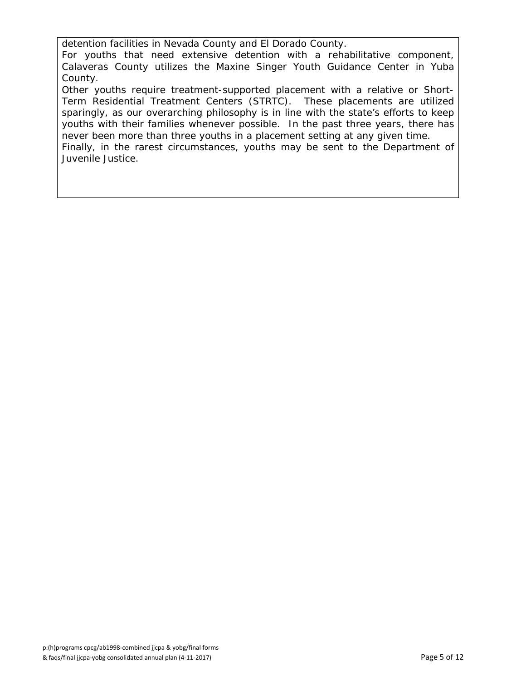detention facilities in Nevada County and El Dorado County.

For youths that need extensive detention with a rehabilitative component, Calaveras County utilizes the Maxine Singer Youth Guidance Center in Yuba County.

Other youths require treatment-supported placement with a relative or Short-Term Residential Treatment Centers (STRTC). These placements are utilized sparingly, as our overarching philosophy is in line with the state's efforts to keep youths with their families whenever possible. In the past three years, there has never been more than three youths in a placement setting at any given time. Finally, in the rarest circumstances, youths may be sent to the Department of Juvenile Justice.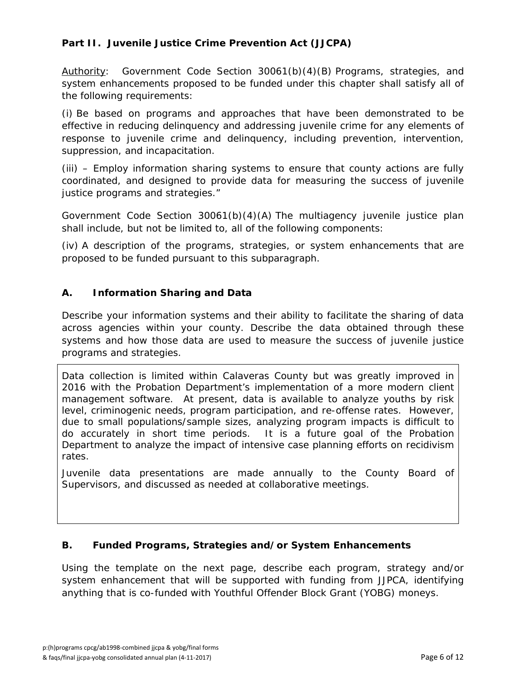#### **Part II. Juvenile Justice Crime Prevention Act (JJCPA)**

*Authority: Government Code Section 30061(b)(4)(B) Programs, strategies, and system enhancements proposed to be funded under this chapter shall satisfy all of the following requirements:* 

*(i) Be based on programs and approaches that have been demonstrated to be effective in reducing delinquency and addressing juvenile crime for any elements of response to juvenile crime and delinquency, including prevention, intervention, suppression, and incapacitation.* 

*(iii) – Employ information sharing systems to ensure that county actions are fully coordinated, and designed to provide data for measuring the success of juvenile justice programs and strategies."* 

*Government Code Section 30061(b)(4)(A) The multiagency juvenile justice plan shall include, but not be limited to, all of the following components:* 

*(iv) A description of the programs, strategies, or system enhancements that are proposed to be funded pursuant to this subparagraph.* 

#### **A. Information Sharing and Data**

Describe your information systems and their ability to facilitate the sharing of data across agencies within your county. Describe the data obtained through these systems and how those data are used to measure the success of juvenile justice programs and strategies.

Data collection is limited within Calaveras County but was greatly improved in 2016 with the Probation Department's implementation of a more modern client management software. At present, data is available to analyze youths by risk level, criminogenic needs, program participation, and re-offense rates. However, due to small populations/sample sizes, analyzing program impacts is difficult to do accurately in short time periods. It is a future goal of the Probation Department to analyze the impact of intensive case planning efforts on recidivism rates.

Juvenile data presentations are made annually to the County Board of Supervisors, and discussed as needed at collaborative meetings.

#### **B. Funded Programs, Strategies and/or System Enhancements**

Using the template on the next page, describe each program, strategy and/or system enhancement that will be supported with funding from JJPCA, identifying anything that is co-funded with Youthful Offender Block Grant (YOBG) moneys.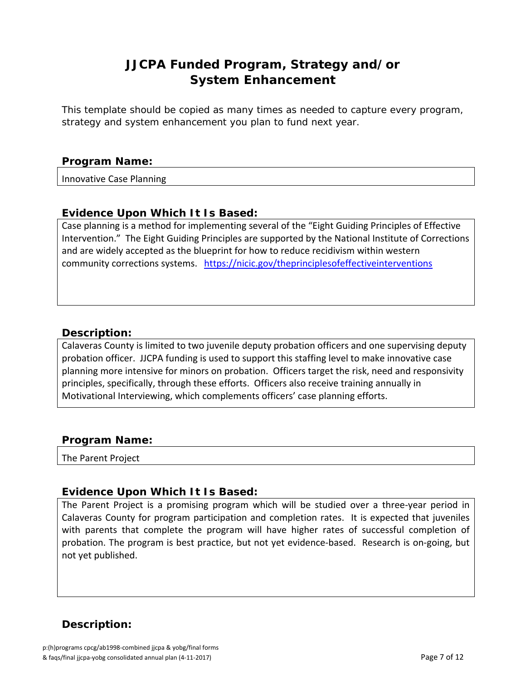## **JJCPA Funded Program, Strategy and/or System Enhancement**

*This template should be copied as many times as needed to capture every program, strategy and system enhancement you plan to fund next year.*

#### *Program Name:*

Innovative Case Planning

#### **Evidence Upon Which It Is Based:**

Case planning is a method for implementing several of the "Eight Guiding Principles of Effective Intervention." The Eight Guiding Principles are supported by the National Institute of Corrections and are widely accepted as the blueprint for how to reduce recidivism within western community corrections systems. https://nicic.gov/theprinciplesofeffectiveinterventions

#### *Description:*

Calaveras County is limited to two juvenile deputy probation officers and one supervising deputy probation officer. JJCPA funding is used to support this staffing level to make innovative case planning more intensive for minors on probation. Officers target the risk, need and responsivity principles, specifically, through these efforts. Officers also receive training annually in Motivational Interviewing, which complements officers' case planning efforts.

#### *Program Name:*

The Parent Project

#### **Evidence Upon Which It Is Based:**

The Parent Project is a promising program which will be studied over a three‐year period in Calaveras County for program participation and completion rates. It is expected that juveniles with parents that complete the program will have higher rates of successful completion of probation. The program is best practice, but not yet evidence‐based. Research is on‐going, but not yet published.

### *Description:*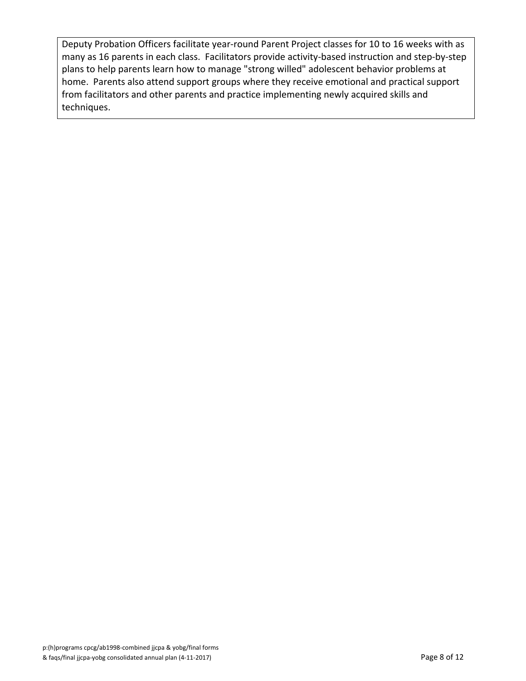Deputy Probation Officers facilitate year-round Parent Project classes for 10 to 16 weeks with as many as 16 parents in each class. Facilitators provide activity‐based instruction and step‐by‐step plans to help parents learn how to manage "strong willed" adolescent behavior problems at home. Parents also attend support groups where they receive emotional and practical support from facilitators and other parents and practice implementing newly acquired skills and techniques.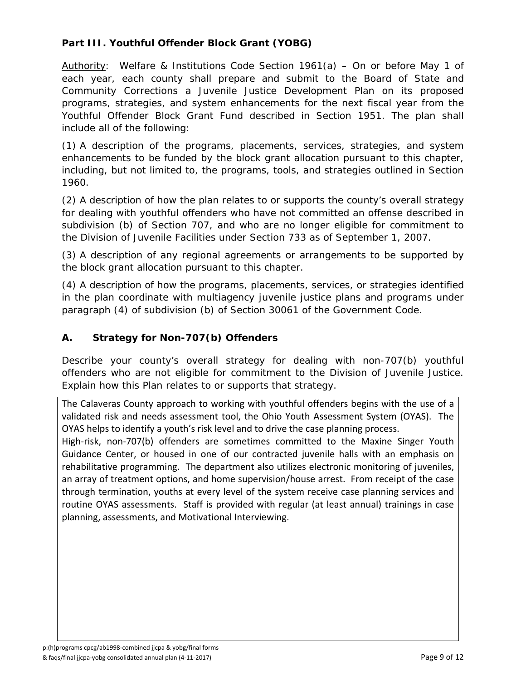#### **Part III. Youthful Offender Block Grant (YOBG)**

*Authority: Welfare & Institutions Code Section 1961(a) – On or before May 1 of*  each year, each county shall prepare and submit to the Board of State and *Community Corrections a Juvenile Justice Development Plan on its proposed programs, strategies, and system enhancements for the next fiscal year from the Youthful Offender Block Grant Fund described in Section 1951. The plan shall include all of the following:* 

*(1) A description of the programs, placements, services, strategies, and system enhancements to be funded by the block grant allocation pursuant to this chapter,*  including, but not limited to, the programs, tools, and strategies outlined in Section *1960.* 

*(2) A description of how the plan relates to or supports the county's overall strategy for dealing with youthful offenders who have not committed an offense described in subdivision (b) of Section 707, and who are no longer eligible for commitment to the Division of Juvenile Facilities under Section 733 as of September 1, 2007.* 

*(3) A description of any regional agreements or arrangements to be supported by the block grant allocation pursuant to this chapter.* 

*(4) A description of how the programs, placements, services, or strategies identified*  in the plan coordinate with multiagency juvenile justice plans and programs under *paragraph (4) of subdivision (b) of Section 30061 of the Government Code.* 

#### **A. Strategy for Non-707(b) Offenders**

Describe your county's overall strategy for dealing with non-707(b) youthful offenders who are not eligible for commitment to the Division of Juvenile Justice. Explain how this Plan relates to or supports that strategy.

The Calaveras County approach to working with youthful offenders begins with the use of a validated risk and needs assessment tool, the Ohio Youth Assessment System (OYAS). The OYAS helps to identify a youth's risk level and to drive the case planning process.

High-risk, non-707(b) offenders are sometimes committed to the Maxine Singer Youth Guidance Center, or housed in one of our contracted juvenile halls with an emphasis on rehabilitative programming. The department also utilizes electronic monitoring of juveniles, an array of treatment options, and home supervision/house arrest. From receipt of the case through termination, youths at every level of the system receive case planning services and routine OYAS assessments. Staff is provided with regular (at least annual) trainings in case planning, assessments, and Motivational Interviewing.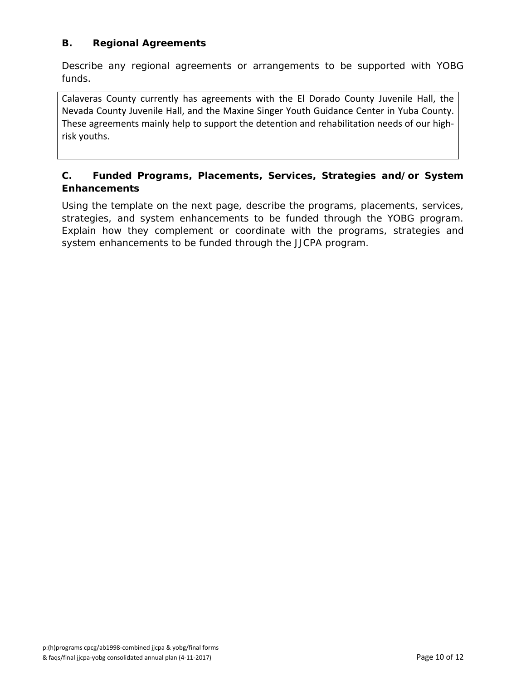#### **B. Regional Agreements**

Describe any regional agreements or arrangements to be supported with YOBG funds.

Calaveras County currently has agreements with the El Dorado County Juvenile Hall, the Nevada County Juvenile Hall, and the Maxine Singer Youth Guidance Center in Yuba County. These agreements mainly help to support the detention and rehabilitation needs of our high‐ risk youths.

#### **C. Funded Programs, Placements, Services, Strategies and/or System Enhancements**

Using the template on the next page, describe the programs, placements, services, strategies, and system enhancements to be funded through the YOBG program. Explain how they complement or coordinate with the programs, strategies and system enhancements to be funded through the JJCPA program.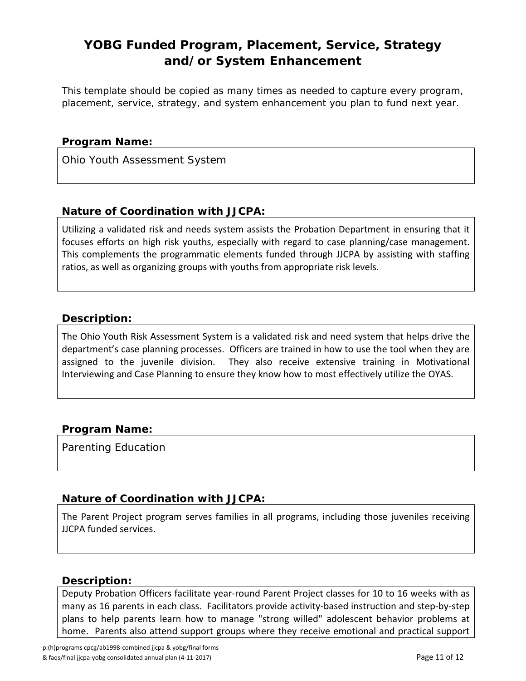## **YOBG Funded Program, Placement, Service, Strategy and/or System Enhancement**

*This template should be copied as many times as needed to capture every program, placement, service, strategy, and system enhancement you plan to fund next year.*

#### *Program Name:*

Ohio Youth Assessment System

#### *Nature of Coordination with JJCPA:*

Utilizing a validated risk and needs system assists the Probation Department in ensuring that it focuses efforts on high risk youths, especially with regard to case planning/case management. This complements the programmatic elements funded through JJCPA by assisting with staffing ratios, as well as organizing groups with youths from appropriate risk levels.

#### *Description:*

The Ohio Youth Risk Assessment System is a validated risk and need system that helps drive the department's case planning processes. Officers are trained in how to use the tool when they are assigned to the juvenile division. They also receive extensive training in Motivational Interviewing and Case Planning to ensure they know how to most effectively utilize the OYAS.

#### *Program Name:*

Parenting Education

#### *Nature of Coordination with JJCPA:*

The Parent Project program serves families in all programs, including those juveniles receiving JJCPA funded services.

#### *Description:*

Deputy Probation Officers facilitate year-round Parent Project classes for 10 to 16 weeks with as many as 16 parents in each class. Facilitators provide activity‐based instruction and step‐by‐step plans to help parents learn how to manage "strong willed" adolescent behavior problems at home. Parents also attend support groups where they receive emotional and practical support